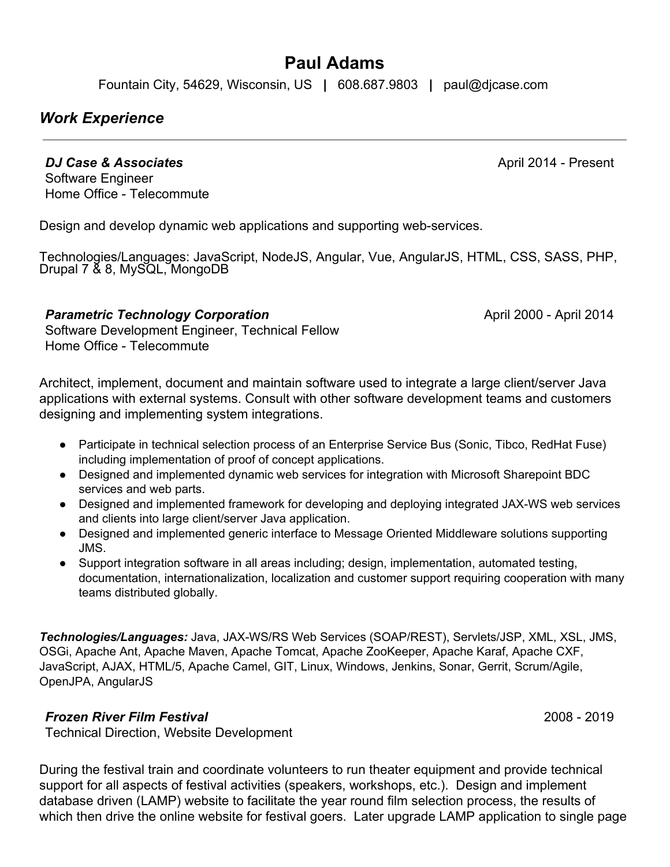# **Paul Adams**

Fountain City, 54629, Wisconsin, US **|** 608.687.9803 **|** paul@djcase.com

### *Work Experience*

*DJ Case & Associates* 

April 2014 - Present

Software Engineer Home Office - Telecommute

Design and develop dynamic web applications and supporting web-services.

Technologies/Languages: JavaScript, NodeJS, Angular, Vue, AngularJS, HTML, CSS, SASS, PHP, Drupal 7 & 8, MySQL, MongoDB

#### *Parametric Technology Corporation*

April 2000 - April 2014

Software Development Engineer, Technical Fellow Home Office - Telecommute

Architect, implement, document and maintain software used to integrate a large client/server Java applications with external systems. Consult with other software development teams and customers designing and implementing system integrations.

- Participate in technical selection process of an Enterprise Service Bus (Sonic, Tibco, RedHat Fuse) including implementation of proof of concept applications.
- Designed and implemented dynamic web services for integration with Microsoft Sharepoint BDC services and web parts.
- Designed and implemented framework for developing and deploying integrated JAX-WS web services and clients into large client/server Java application.
- Designed and implemented generic interface to Message Oriented Middleware solutions supporting JMS.
- Support integration software in all areas including; design, implementation, automated testing, documentation, internationalization, localization and customer support requiring cooperation with many teams distributed globally.

*Technologies/Languages:* Java, JAX-WS/RS Web Services (SOAP/REST), Servlets/JSP, XML, XSL, JMS, OSGi, Apache Ant, Apache Maven, Apache Tomcat, Apache ZooKeeper, Apache Karaf, Apache CXF, JavaScript, AJAX, HTML/5, Apache Camel, GIT, Linux, Windows, Jenkins, Sonar, Gerrit, Scrum/Agile, OpenJPA, AngularJS

#### *Frozen River Film Festival*

2008 - 2019

Technical Direction, Website Development

During the festival train and coordinate volunteers to run theater equipment and provide technical support for all aspects of festival activities (speakers, workshops, etc.). Design and implement database driven (LAMP) website to facilitate the year round film selection process, the results of which then drive the online website for festival goers. Later upgrade LAMP application to single page